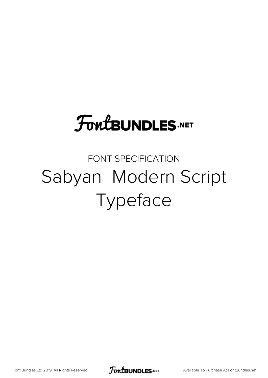## **FoutBUNDLES.NET**

## FONT SPECIFICATION Sabyan Modern Script Typeface

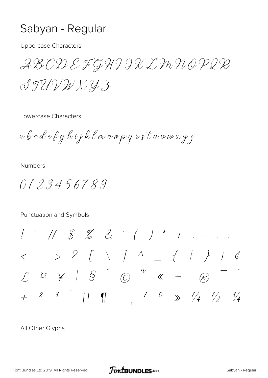## Sabyan - Regular

**Uppercase Characters** 

ABCDEFGHIIXLMNOPIR  $SJUVWKY3$ 

Lowercase Characters

a b c d e f g h i j k l m n o p q r s t u v w x y z

**Numbers** 

0123456789

Punctuation and Symbols

 $\frac{1}{2}$  #  $\frac{1}{2}$   $\frac{1}{2}$   $\frac{1}{2}$   $\frac{1}{2}$   $\frac{1}{2}$   $\frac{1}{2}$   $\frac{1}{2}$   $\frac{1}{2}$   $\frac{1}{2}$   $\frac{1}{2}$   $\frac{1}{2}$   $\frac{1}{2}$   $\frac{1}{2}$   $\frac{1}{2}$   $\frac{1}{2}$   $\frac{1}{2}$   $\frac{1}{2}$   $\frac{1}{2}$   $\frac{1}{2}$   $\frac{1}{2}$   $\frac{1}{2}$  $E \quad \alpha \quad \nvdash \quad | \quad S \quad \quad C \quad \quad ^a \quad \nightharpoonup$  $(\mathcal{R})$  $\pm$  2 3  $'$   $\uparrow$   $\parallel$   $\parallel$  1 0  $\gg$   $\frac{1}{4}$   $\frac{1}{2}$   $\frac{3}{4}$ 

All Other Glyphs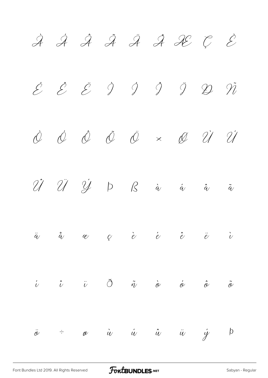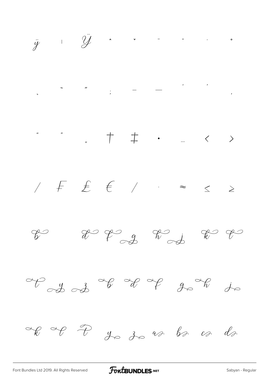

 $T_{c}y_{c}z_{d}$  of  $T_{c}y_{c}$  of  $y_{c}$  of  $y_{c}$ 

FontBUNDLES.NET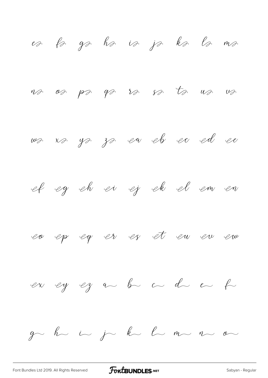es ls gs ha is ja ka la ma va oa pa ga ra sa ta ua va was vas ya za en ek eo ed ee et eg eh ei ej ek el em en en ep eg er er et en en em en ey ez a b a d e f ge he i je ke le me ne o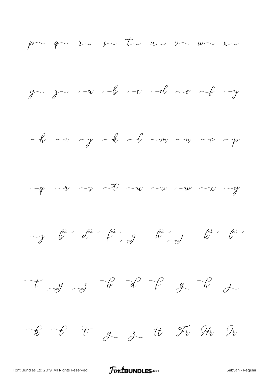